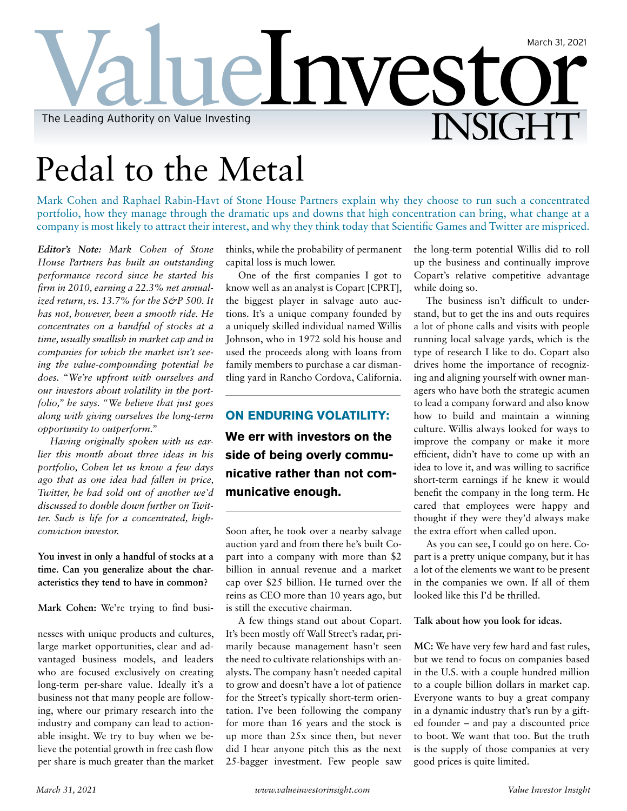## elnvest **INSIGHT** March 31, 2021 The Leading Authority on Value Investing

# Pedal to the Metal

Mark Cohen and Raphael Rabin-Havt of Stone House Partners explain why they choose to run such a concentrated portfolio, how they manage through the dramatic ups and downs that high concentration can bring, what change at a company is most likely to attract their interest, and why they think today that Scientific Games and Twitter are mispriced.

*Editor's Note: Mark Cohen of Stone House Partners has built an outstanding performance record since he started his firm in 2010, earning a 22.3% net annualized return, vs.* 13.7% for the S&P 500. It *has not, however, been a smooth ride. He concentrates on a handful of stocks at a time, usually smallish in market cap and in companies for which the market isn't seeing the value-compounding potential he does. "We're upfront with ourselves and our investors about volatility in the portfolio," he says. "We believe that just goes along with giving ourselves the long-term opportunity to outperform."*

*Having originally spoken with us earlier this month about three ideas in his portfolio, Cohen let us know a few days ago that as one idea had fallen in price, Twitter, he had sold out of another we'd discussed to double down further on Twitter. Such is life for a concentrated, highconviction investor.*

**You invest in only a handful of stocks at a time. Can you generalize about the characteristics they tend to have in common?**

**Mark Cohen:** We're trying to find busi-

nesses with unique products and cultures, large market opportunities, clear and advantaged business models, and leaders who are focused exclusively on creating long-term per-share value. Ideally it's a business not that many people are following, where our primary research into the industry and company can lead to actionable insight. We try to buy when we believe the potential growth in free cash flow per share is much greater than the market

thinks, while the probability of permanent capital loss is much lower.

One of the first companies I got to know well as an analyst is Copart [CPRT], the biggest player in salvage auto auctions. It's a unique company founded by a uniquely skilled individual named Willis Johnson, who in 1972 sold his house and used the proceeds along with loans from family members to purchase a car dismantling yard in Rancho Cordova, California.

## **ON ENDURING VOLATILITY:**

**We err with investors on the side of being overly communicative rather than not communicative enough.**

Soon after, he took over a nearby salvage auction yard and from there he's built Copart into a company with more than \$2 billion in annual revenue and a market cap over \$25 billion. He turned over the reins as CEO more than 10 years ago, but is still the executive chairman.

A few things stand out about Copart. It's been mostly off Wall Street's radar, primarily because management hasn't seen the need to cultivate relationships with analysts. The company hasn't needed capital to grow and doesn't have a lot of patience for the Street's typically short-term orientation. I've been following the company for more than 16 years and the stock is up more than 25x since then, but never did I hear anyone pitch this as the next 25-bagger investment. Few people saw the long-term potential Willis did to roll up the business and continually improve Copart's relative competitive advantage while doing so.

The business isn't difficult to understand, but to get the ins and outs requires a lot of phone calls and visits with people running local salvage yards, which is the type of research I like to do. Copart also drives home the importance of recognizing and aligning yourself with owner managers who have both the strategic acumen to lead a company forward and also know how to build and maintain a winning culture. Willis always looked for ways to improve the company or make it more efficient, didn't have to come up with an idea to love it, and was willing to sacrifice short-term earnings if he knew it would benefit the company in the long term. He cared that employees were happy and thought if they were they'd always make the extra effort when called upon.

As you can see, I could go on here. Copart is a pretty unique company, but it has a lot of the elements we want to be present in the companies we own. If all of them looked like this I'd be thrilled.

**Talk about how you look for ideas.**

**MC:** We have very few hard and fast rules, but we tend to focus on companies based in the U.S. with a couple hundred million to a couple billion dollars in market cap. Everyone wants to buy a great company in a dynamic industry that's run by a gifted founder – and pay a discounted price to boot. We want that too. But the truth is the supply of those companies at very good prices is quite limited.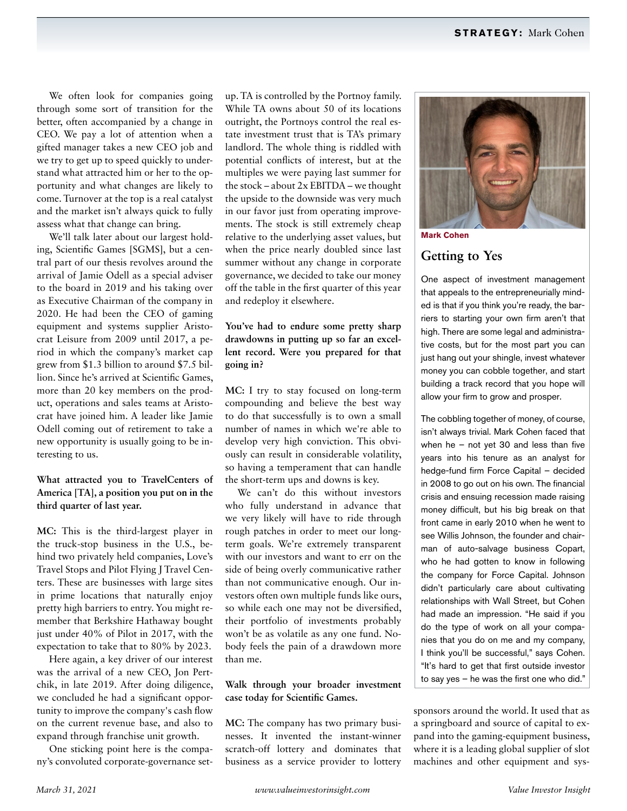We often look for companies going through some sort of transition for the better, often accompanied by a change in CEO. We pay a lot of attention when a gifted manager takes a new CEO job and we try to get up to speed quickly to understand what attracted him or her to the opportunity and what changes are likely to come. Turnover at the top is a real catalyst and the market isn't always quick to fully assess what that change can bring.

We'll talk later about our largest holding, Scientific Games [SGMS], but a central part of our thesis revolves around the arrival of Jamie Odell as a special adviser to the board in 2019 and his taking over as Executive Chairman of the company in 2020. He had been the CEO of gaming equipment and systems supplier Aristocrat Leisure from 2009 until 2017, a period in which the company's market cap grew from \$1.3 billion to around \$7.5 billion. Since he's arrived at Scientific Games, more than 20 key members on the product, operations and sales teams at Aristocrat have joined him. A leader like Jamie Odell coming out of retirement to take a new opportunity is usually going to be interesting to us.

## **What attracted you to TravelCenters of America [TA], a position you put on in the third quarter of last year.**

**MC:** This is the third-largest player in the truck-stop business in the U.S., behind two privately held companies, Love's Travel Stops and Pilot Flying J Travel Centers. These are businesses with large sites in prime locations that naturally enjoy pretty high barriers to entry. You might remember that Berkshire Hathaway bought just under 40% of Pilot in 2017, with the expectation to take that to 80% by 2023.

Here again, a key driver of our interest was the arrival of a new CEO, Jon Pertchik, in late 2019. After doing diligence, we concluded he had a significant opportunity to improve the company's cash flow on the current revenue base, and also to expand through franchise unit growth.

One sticking point here is the company's convoluted corporate-governance set-

up. TA is controlled by the Portnoy family. While TA owns about 50 of its locations outright, the Portnoys control the real estate investment trust that is TA's primary landlord. The whole thing is riddled with potential conflicts of interest, but at the multiples we were paying last summer for the stock – about 2x EBITDA – we thought the upside to the downside was very much in our favor just from operating improvements. The stock is still extremely cheap relative to the underlying asset values, but when the price nearly doubled since last summer without any change in corporate governance, we decided to take our money off the table in the first quarter of this year and redeploy it elsewhere.

## **You've had to endure some pretty sharp drawdowns in putting up so far an excellent record. Were you prepared for that going in?**

**MC:** I try to stay focused on long-term compounding and believe the best way to do that successfully is to own a small number of names in which we're able to develop very high conviction. This obviously can result in considerable volatility, so having a temperament that can handle the short-term ups and downs is key.

We can't do this without investors who fully understand in advance that we very likely will have to ride through rough patches in order to meet our longterm goals. We're extremely transparent with our investors and want to err on the side of being overly communicative rather than not communicative enough. Our investors often own multiple funds like ours, so while each one may not be diversified, their portfolio of investments probably won't be as volatile as any one fund. Nobody feels the pain of a drawdown more than me.

## **Walk through your broader investment case today for Scientific Games.**

**MC:** The company has two primary businesses. It invented the instant-winner scratch-off lottery and dominates that business as a service provider to lottery



**Mark Cohen**

## **Getting to Yes**

One aspect of investment management that appeals to the entrepreneurially minded is that if you think you're ready, the barriers to starting your own firm aren't that high. There are some legal and administrative costs, but for the most part you can just hang out your shingle, invest whatever money you can cobble together, and start building a track record that you hope will allow your firm to grow and prosper.

The cobbling together of money, of course, isn't always trivial. Mark Cohen faced that when he – not yet 30 and less than five years into his tenure as an analyst for hedge-fund firm Force Capital – decided in 2008 to go out on his own. The financial crisis and ensuing recession made raising money difficult, but his big break on that front came in early 2010 when he went to see Willis Johnson, the founder and chairman of auto-salvage business Copart, who he had gotten to know in following the company for Force Capital. Johnson didn't particularly care about cultivating relationships with Wall Street, but Cohen had made an impression. "He said if you do the type of work on all your companies that you do on me and my company, I think you'll be successful," says Cohen. "It's hard to get that first outside investor to say yes – he was the first one who did."

sponsors around the world. It used that as a springboard and source of capital to expand into the gaming-equipment business, where it is a leading global supplier of slot machines and other equipment and sys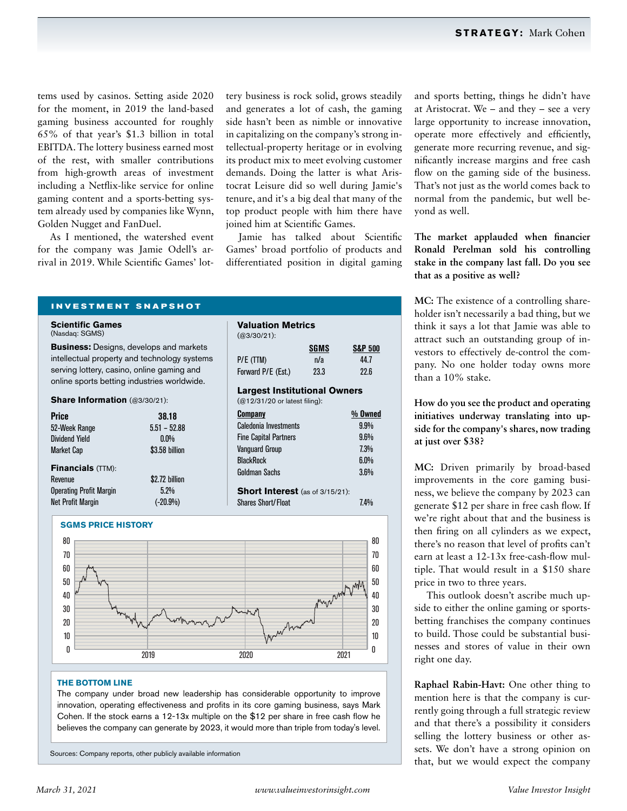tems used by casinos. Setting aside 2020 for the moment, in 2019 the land-based gaming business accounted for roughly 65% of that year's \$1.3 billion in total EBITDA. The lottery business earned most of the rest, with smaller contributions from high-growth areas of investment including a Netflix-like service for online gaming content and a sports-betting system already used by companies like Wynn, Golden Nugget and FanDuel.

As I mentioned, the watershed event for the company was Jamie Odell's arrival in 2019. While Scientific Games' lottery business is rock solid, grows steadily and generates a lot of cash, the gaming side hasn't been as nimble or innovative in capitalizing on the company's strong intellectual-property heritage or in evolving its product mix to meet evolving customer demands. Doing the latter is what Aristocrat Leisure did so well during Jamie's tenure, and it's a big deal that many of the top product people with him there have joined him at Scientific Games.

Jamie has talked about Scientific Games' broad portfolio of products and differentiated position in digital gaming

P/E (TTM)  $n/a$  44.7 Forward P/E (Est.) 23.3 22.6 **Largest Institutional Owners**

**Company % Owned** Caledonia Investments 9.9% Fine Capital Partners 9.6%

**SGMS S&P 500**

**Valuation Metrics**

(@12/31/20 or latest filing):

(@3/30/21):

**INVESTMENT SNAPSHOT**

**Scientific Games**  (Nasdaq: SGMS)

**Business:** Designs, develops and markets intellectual property and technology systems serving lottery, casino, online gaming and online sports betting industries worldwide.

**Share Information** (@3/30/21):

| <b>Price</b>                   | 38.18          |
|--------------------------------|----------------|
| 52-Week Range                  | $5.51 - 52.88$ |
| <b>Dividend Yield</b>          | $0.0\%$        |
| <b>Market Cap</b>              | \$3.58 billion |
| <b>Financials (TTM):</b>       |                |
| Revenue                        | \$2.72 billion |
| <b>Operating Profit Margin</b> | 5.2%           |
| <b>Net Profit Margin</b>       | $(-20.9\%)$    |



### **THE BOTTOM LINE**

The company under broad new leadership has considerable opportunity to improve innovation, operating effectiveness and profits in its core gaming business, says Mark Cohen. If the stock earns a 12-13x multiple on the \$12 per share in free cash flow he believes the company can generate by 2023, it would more than triple from today's level.

Sources: Company reports, other publicly available information

and sports betting, things he didn't have at Aristocrat. We – and they – see a very large opportunity to increase innovation, operate more effectively and efficiently, generate more recurring revenue, and significantly increase margins and free cash flow on the gaming side of the business. That's not just as the world comes back to normal from the pandemic, but well beyond as well.

**The market applauded when financier Ronald Perelman sold his controlling stake in the company last fall. Do you see that as a positive as well?**

**MC:** The existence of a controlling shareholder isn't necessarily a bad thing, but we think it says a lot that Jamie was able to attract such an outstanding group of investors to effectively de-control the company. No one holder today owns more than a 10% stake.

**How do you see the product and operating initiatives underway translating into upside for the company's shares, now trading at just over \$38?**

**MC:** Driven primarily by broad-based improvements in the core gaming business, we believe the company by 2023 can generate \$12 per share in free cash flow. If we're right about that and the business is then firing on all cylinders as we expect, there's no reason that level of profits can't earn at least a 12-13x free-cash-flow multiple. That would result in a \$150 share price in two to three years.

This outlook doesn't ascribe much upside to either the online gaming or sportsbetting franchises the company continues to build. Those could be substantial businesses and stores of value in their own right one day.

**Raphael Rabin-Havt:** One other thing to mention here is that the company is currently going through a full strategic review and that there's a possibility it considers selling the lottery business or other assets. We don't have a strong opinion on that, but we would expect the company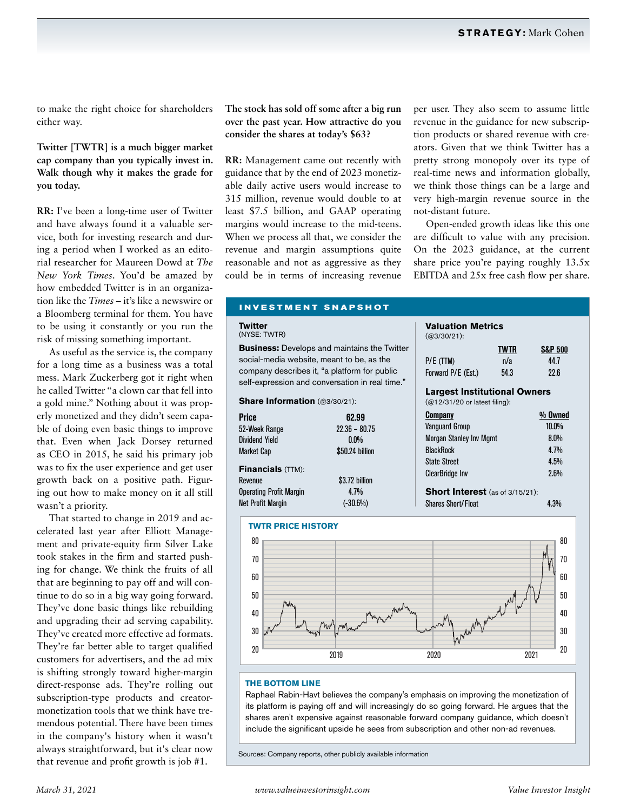to make the right choice for shareholders either way.

## **Twitter [TWTR] is a much bigger market cap company than you typically invest in. Walk though why it makes the grade for you today.**

**RR:** I've been a long-time user of Twitter and have always found it a valuable service, both for investing research and during a period when I worked as an editorial researcher for Maureen Dowd at *The New York Times*. You'd be amazed by how embedded Twitter is in an organization like the *Times* – it's like a newswire or a Bloomberg terminal for them. You have to be using it constantly or you run the risk of missing something important.

As useful as the service is, the company for a long time as a business was a total mess. Mark Zuckerberg got it right when he called Twitter "a clown car that fell into a gold mine." Nothing about it was properly monetized and they didn't seem capable of doing even basic things to improve that. Even when Jack Dorsey returned as CEO in 2015, he said his primary job was to fix the user experience and get user growth back on a positive path. Figuring out how to make money on it all still wasn't a priority.

That started to change in 2019 and accelerated last year after Elliott Management and private-equity firm Silver Lake took stakes in the firm and started pushing for change. We think the fruits of all that are beginning to pay off and will continue to do so in a big way going forward. They've done basic things like rebuilding and upgrading their ad serving capability. They've created more effective ad formats. They're far better able to target qualified customers for advertisers, and the ad mix is shifting strongly toward higher-margin direct-response ads. They're rolling out subscription-type products and creatormonetization tools that we think have tremendous potential. There have been times in the company's history when it wasn't always straightforward, but it's clear now that revenue and profit growth is job #1.

**The stock has sold off some after a big run over the past year. How attractive do you consider the shares at today's \$63?**

**RR:** Management came out recently with guidance that by the end of 2023 monetizable daily active users would increase to 315 million, revenue would double to at least \$7.5 billion, and GAAP operating margins would increase to the mid-teens. When we process all that, we consider the revenue and margin assumptions quite reasonable and not as aggressive as they could be in terms of increasing revenue per user. They also seem to assume little revenue in the guidance for new subscription products or shared revenue with creators. Given that we think Twitter has a pretty strong monopoly over its type of real-time news and information globally, we think those things can be a large and very high-margin revenue source in the not-distant future.

Open-ended growth ideas like this one are difficult to value with any precision. On the 2023 guidance, at the current share price you're paying roughly 13.5x EBITDA and 25x free cash flow per share.

## **INVESTMENT SNAPSHOT**

#### **Twitter** (NYSE: TWTR)

**Business:** Develops and maintains the Twitter social-media website, meant to be, as the company describes it, "a platform for public self-expression and conversation in real time."

**Share Information** (@3/30/21):

| <b>Price</b>                   | 62.99           |
|--------------------------------|-----------------|
| 52-Week Range                  | $22.36 - 80.75$ |
| <b>Dividend Yield</b>          | $0.0\%$         |
| <b>Market Cap</b>              | \$50.24 billion |
| <b>Financials (TTM):</b>       |                 |
| Revenue                        | \$3.72 billion  |
| <b>Operating Profit Margin</b> | 4.7%            |
| <b>Net Profit Margin</b>       | $(-30.6%)$      |



Shares Short/Float 4.3%

**Valuation Metrics**



#### **THE BOTTOM LINE**

Raphael Rabin-Havt believes the company's emphasis on improving the monetization of its platform is paying off and will increasingly do so going forward. He argues that the shares aren't expensive against reasonable forward company guidance, which doesn't include the significant upside he sees from subscription and other non-ad revenues.

Sources: Company reports, other publicly available information